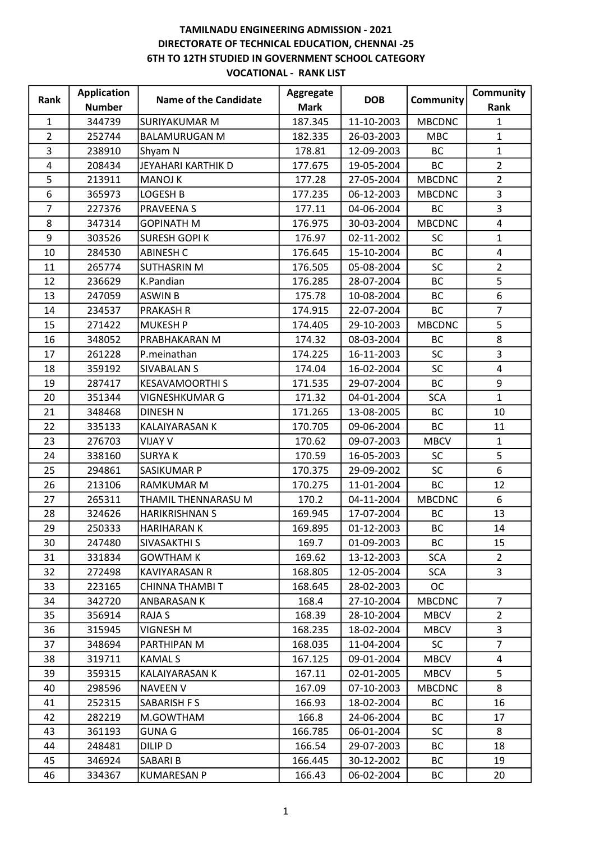| Rank           | <b>Application</b> | <b>Name of the Candidate</b> | Aggregate   | <b>DOB</b> | Community     | Community      |
|----------------|--------------------|------------------------------|-------------|------------|---------------|----------------|
|                | <b>Number</b>      |                              | <b>Mark</b> |            |               | Rank           |
| $\mathbf{1}$   | 344739             | SURIYAKUMAR M                | 187.345     | 11-10-2003 | <b>MBCDNC</b> | $\mathbf{1}$   |
| $\overline{2}$ | 252744             | <b>BALAMURUGAN M</b>         | 182.335     | 26-03-2003 | <b>MBC</b>    | $\mathbf{1}$   |
| 3              | 238910             | Shyam N                      | 178.81      | 12-09-2003 | <b>BC</b>     | $\mathbf{1}$   |
| 4              | 208434             | JEYAHARI KARTHIK D           | 177.675     | 19-05-2004 | <b>BC</b>     | $\overline{2}$ |
| 5              | 213911             | <b>MANOJ K</b>               | 177.28      | 27-05-2004 | <b>MBCDNC</b> | $\overline{2}$ |
| 6              | 365973             | LOGESH B                     | 177.235     | 06-12-2003 | <b>MBCDNC</b> | 3              |
| $\overline{7}$ | 227376             | <b>PRAVEENAS</b>             | 177.11      | 04-06-2004 | <b>BC</b>     | $\overline{3}$ |
| 8              | 347314             | <b>GOPINATH M</b>            | 176.975     | 30-03-2004 | <b>MBCDNC</b> | $\overline{4}$ |
| 9              | 303526             | <b>SURESH GOPI K</b>         | 176.97      | 02-11-2002 | <b>SC</b>     | $\mathbf{1}$   |
| 10             | 284530             | <b>ABINESH C</b>             | 176.645     | 15-10-2004 | <b>BC</b>     | 4              |
| 11             | 265774             | <b>SUTHASRIN M</b>           | 176.505     | 05-08-2004 | <b>SC</b>     | $\overline{2}$ |
| 12             | 236629             | K.Pandian                    | 176.285     | 28-07-2004 | <b>BC</b>     | 5              |
| 13             | 247059             | <b>ASWIN B</b>               | 175.78      | 10-08-2004 | <b>BC</b>     | 6              |
| 14             | 234537             | <b>PRAKASH R</b>             | 174.915     | 22-07-2004 | <b>BC</b>     | $\overline{7}$ |
| 15             | 271422             | MUKESH P                     | 174.405     | 29-10-2003 | <b>MBCDNC</b> | 5              |
| 16             | 348052             | PRABHAKARAN M                | 174.32      | 08-03-2004 | <b>BC</b>     | 8              |
| 17             | 261228             | P.meinathan                  | 174.225     | 16-11-2003 | SC            | 3              |
| 18             | 359192             | <b>SIVABALAN S</b>           | 174.04      | 16-02-2004 | <b>SC</b>     | 4              |
| 19             | 287417             | <b>KESAVAMOORTHI S</b>       | 171.535     | 29-07-2004 | <b>BC</b>     | 9              |
| 20             | 351344             | VIGNESHKUMAR G               | 171.32      | 04-01-2004 | <b>SCA</b>    | $\mathbf{1}$   |
| 21             | 348468             | <b>DINESH N</b>              | 171.265     | 13-08-2005 | <b>BC</b>     | 10             |
| 22             | 335133             | KALAIYARASAN K               | 170.705     | 09-06-2004 | <b>BC</b>     | 11             |
| 23             | 276703             | <b>VIJAY V</b>               | 170.62      | 09-07-2003 | <b>MBCV</b>   | 1              |
| 24             | 338160             | <b>SURYAK</b>                | 170.59      | 16-05-2003 | <b>SC</b>     | 5              |
| 25             | 294861             | SASIKUMAR P                  | 170.375     | 29-09-2002 | <b>SC</b>     | 6              |
| 26             | 213106             | <b>RAMKUMAR M</b>            | 170.275     | 11-01-2004 | <b>BC</b>     | 12             |
| 27             | 265311             | THAMIL THENNARASU M          | 170.2       | 04-11-2004 | <b>MBCDNC</b> | 6              |
| 28             | 324626             | <b>HARIKRISHNAN S</b>        | 169.945     | 17-07-2004 | <b>BC</b>     | 13             |
| 29             | 250333             | <b>HARIHARAN K</b>           | 169.895     | 01-12-2003 | <b>BC</b>     | 14             |
| 30             | 247480             | SIVASAKTHI S                 | 169.7       | 01-09-2003 | BC            | 15             |
| 31             | 331834             | <b>GOWTHAM K</b>             | 169.62      | 13-12-2003 | <b>SCA</b>    | $\overline{2}$ |
| 32             | 272498             | <b>KAVIYARASAN R</b>         | 168.805     | 12-05-2004 | <b>SCA</b>    | 3              |
| 33             | 223165             | CHINNA THAMBI T              | 168.645     | 28-02-2003 | <b>OC</b>     |                |
| 34             | 342720             | ANBARASAN K                  | 168.4       | 27-10-2004 | <b>MBCDNC</b> | $\overline{7}$ |
| 35             | 356914             | RAJA S                       | 168.39      | 28-10-2004 | <b>MBCV</b>   | $\mathbf{2}$   |
| 36             | 315945             | VIGNESH M                    | 168.235     | 18-02-2004 | <b>MBCV</b>   | 3              |
| 37             | 348694             | PARTHIPAN M                  | 168.035     | 11-04-2004 | <b>SC</b>     | $\overline{7}$ |
| 38             | 319711             | <b>KAMAL S</b>               | 167.125     | 09-01-2004 | <b>MBCV</b>   | 4              |
| 39             | 359315             | KALAIYARASAN K               | 167.11      | 02-01-2005 | <b>MBCV</b>   | 5              |
| 40             | 298596             | <b>NAVEEN V</b>              | 167.09      | 07-10-2003 | <b>MBCDNC</b> | 8              |
| 41             | 252315             | SABARISH F S                 | 166.93      | 18-02-2004 | <b>BC</b>     | 16             |
| 42             | 282219             | M.GOWTHAM                    | 166.8       | 24-06-2004 | <b>BC</b>     | 17             |
| 43             | 361193             | <b>GUNA G</b>                | 166.785     | 06-01-2004 | <b>SC</b>     | 8              |
| 44             | 248481             | DILIP D                      | 166.54      | 29-07-2003 | <b>BC</b>     | 18             |
| 45             | 346924             | SABARI B                     | 166.445     | 30-12-2002 | BC            | 19             |
| 46             | 334367             | <b>KUMARESAN P</b>           | 166.43      | 06-02-2004 | BC            | 20             |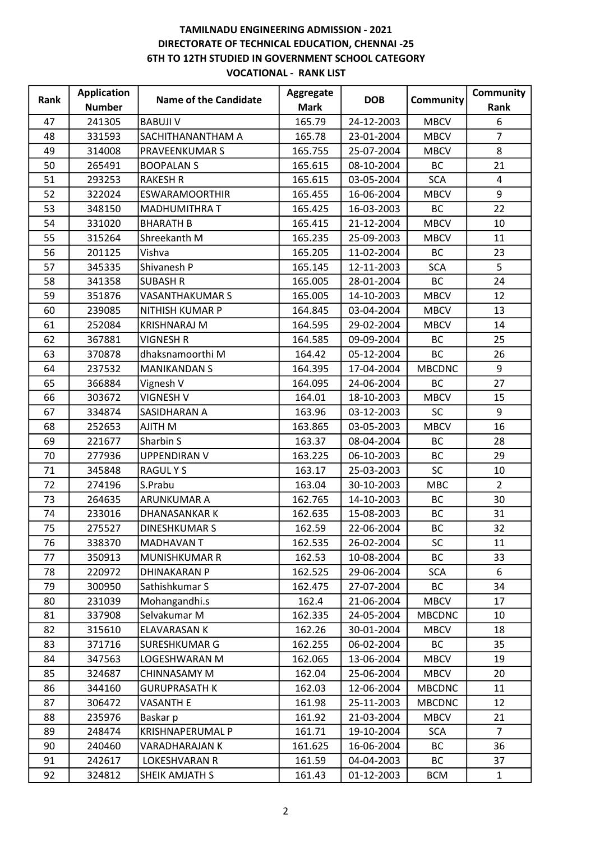|      | <b>Application</b> | <b>Name of the Candidate</b> | Aggregate   | <b>DOB</b> |               | Community      |
|------|--------------------|------------------------------|-------------|------------|---------------|----------------|
| Rank | <b>Number</b>      |                              | <b>Mark</b> |            | Community     | Rank           |
| 47   | 241305             | <b>BABUJI V</b>              | 165.79      | 24-12-2003 | <b>MBCV</b>   | 6              |
| 48   | 331593             | SACHITHANANTHAM A            | 165.78      | 23-01-2004 | <b>MBCV</b>   | $\overline{7}$ |
| 49   | 314008             | <b>PRAVEENKUMARS</b>         | 165.755     | 25-07-2004 | <b>MBCV</b>   | 8              |
| 50   | 265491             | <b>BOOPALANS</b>             | 165.615     | 08-10-2004 | <b>BC</b>     | 21             |
| 51   | 293253             | <b>RAKESH R</b>              | 165.615     | 03-05-2004 | <b>SCA</b>    | 4              |
| 52   | 322024             | <b>ESWARAMOORTHIR</b>        | 165.455     | 16-06-2004 | <b>MBCV</b>   | 9              |
| 53   | 348150             | <b>MADHUMITHRA T</b>         | 165.425     | 16-03-2003 | <b>BC</b>     | 22             |
| 54   | 331020             | <b>BHARATH B</b>             | 165.415     | 21-12-2004 | <b>MBCV</b>   | 10             |
| 55   | 315264             | Shreekanth M                 | 165.235     | 25-09-2003 | <b>MBCV</b>   | 11             |
| 56   | 201125             | Vishva                       | 165.205     | 11-02-2004 | <b>BC</b>     | 23             |
| 57   | 345335             | Shivanesh P                  | 165.145     | 12-11-2003 | <b>SCA</b>    | 5              |
| 58   | 341358             | <b>SUBASH R</b>              | 165.005     | 28-01-2004 | <b>BC</b>     | 24             |
| 59   | 351876             | <b>VASANTHAKUMAR S</b>       | 165.005     | 14-10-2003 | <b>MBCV</b>   | 12             |
| 60   | 239085             | <b>NITHISH KUMAR P</b>       | 164.845     | 03-04-2004 | <b>MBCV</b>   | 13             |
| 61   | 252084             | <b>KRISHNARAJ M</b>          | 164.595     | 29-02-2004 | <b>MBCV</b>   | 14             |
| 62   | 367881             | <b>VIGNESH R</b>             | 164.585     | 09-09-2004 | <b>BC</b>     | 25             |
| 63   | 370878             | dhaksnamoorthi M             | 164.42      | 05-12-2004 | <b>BC</b>     | 26             |
| 64   | 237532             | <b>MANIKANDAN S</b>          | 164.395     | 17-04-2004 | <b>MBCDNC</b> | 9              |
| 65   | 366884             | Vignesh V                    | 164.095     | 24-06-2004 | <b>BC</b>     | 27             |
| 66   | 303672             | <b>VIGNESH V</b>             | 164.01      | 18-10-2003 | <b>MBCV</b>   | 15             |
| 67   | 334874             | SASIDHARAN A                 | 163.96      | 03-12-2003 | <b>SC</b>     | 9              |
| 68   | 252653             | AJITH M                      | 163.865     | 03-05-2003 | <b>MBCV</b>   | 16             |
| 69   | 221677             | Sharbin S                    | 163.37      | 08-04-2004 | <b>BC</b>     | 28             |
| 70   | 277936             | <b>UPPENDIRAN V</b>          | 163.225     | 06-10-2003 | <b>BC</b>     | 29             |
| 71   | 345848             | <b>RAGULYS</b>               | 163.17      | 25-03-2003 | SC            | 10             |
| 72   | 274196             | S.Prabu                      | 163.04      | 30-10-2003 | <b>MBC</b>    | $\overline{2}$ |
| 73   | 264635             | ARUNKUMAR A                  | 162.765     | 14-10-2003 | <b>BC</b>     | 30             |
| 74   | 233016             | <b>DHANASANKARK</b>          | 162.635     | 15-08-2003 | <b>BC</b>     | 31             |
| 75   | 275527             | <b>DINESHKUMAR S</b>         | 162.59      | 22-06-2004 | <b>BC</b>     | 32             |
| 76   | 338370             | <b>MADHAVANT</b>             | 162.535     | 26-02-2004 | <b>SC</b>     | 11             |
| 77   | 350913             | <b>MUNISHKUMAR R</b>         | 162.53      | 10-08-2004 | <b>BC</b>     | 33             |
| 78   | 220972             | <b>DHINAKARAN P</b>          | 162.525     | 29-06-2004 | <b>SCA</b>    | 6              |
| 79   | 300950             | Sathishkumar S               | 162.475     | 27-07-2004 | BC            | 34             |
| 80   | 231039             | Mohangandhi.s                | 162.4       | 21-06-2004 | <b>MBCV</b>   | 17             |
| 81   | 337908             | Selvakumar M                 | 162.335     | 24-05-2004 | <b>MBCDNC</b> | 10             |
| 82   | 315610             | <b>ELAVARASAN K</b>          | 162.26      | 30-01-2004 | <b>MBCV</b>   | 18             |
| 83   | 371716             | SURESHKUMAR G                | 162.255     | 06-02-2004 | BC            | 35             |
| 84   | 347563             | LOGESHWARAN M                | 162.065     | 13-06-2004 | <b>MBCV</b>   | 19             |
| 85   | 324687             | CHINNASAMY M                 | 162.04      | 25-06-2004 | <b>MBCV</b>   | 20             |
| 86   | 344160             | <b>GURUPRASATH K</b>         | 162.03      | 12-06-2004 | <b>MBCDNC</b> | 11             |
| 87   | 306472             | <b>VASANTH E</b>             | 161.98      | 25-11-2003 | <b>MBCDNC</b> | 12             |
| 88   | 235976             | Baskar p                     | 161.92      | 21-03-2004 | <b>MBCV</b>   | 21             |
| 89   | 248474             | KRISHNAPERUMAL P             | 161.71      | 19-10-2004 | <b>SCA</b>    | 7              |
| 90   | 240460             | VARADHARAJAN K               | 161.625     | 16-06-2004 | <b>BC</b>     | 36             |
| 91   | 242617             | <b>LOKESHVARAN R</b>         | 161.59      | 04-04-2003 | BC            | 37             |
| 92   | 324812             | SHEIK AMJATH S               | 161.43      | 01-12-2003 | <b>BCM</b>    | $\mathbf{1}$   |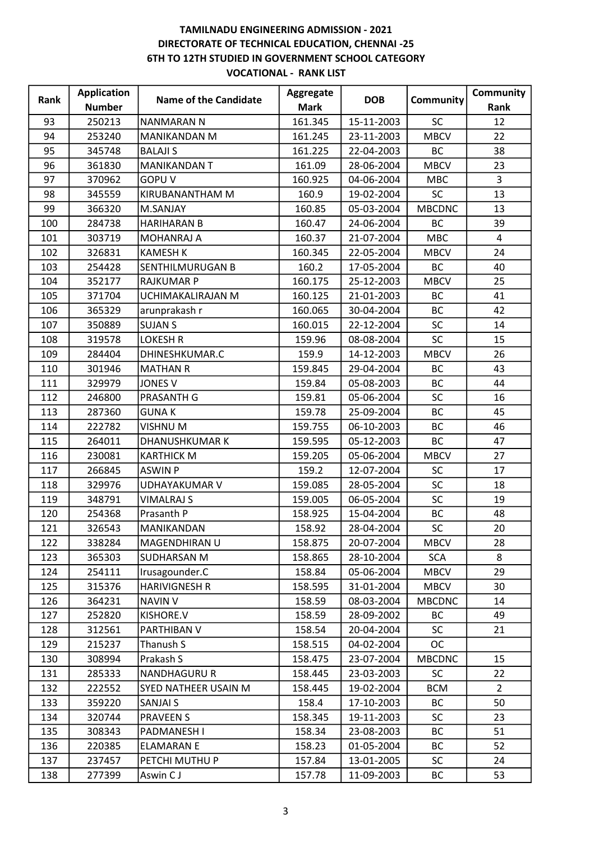| Rank | <b>Application</b> | <b>Name of the Candidate</b> | Aggregate   | <b>DOB</b> | Community     | Community      |
|------|--------------------|------------------------------|-------------|------------|---------------|----------------|
|      | <b>Number</b>      |                              | <b>Mark</b> |            |               | Rank           |
| 93   | 250213             | <b>NANMARAN N</b>            | 161.345     | 15-11-2003 | <b>SC</b>     | 12             |
| 94   | 253240             | <b>MANIKANDAN M</b>          | 161.245     | 23-11-2003 | <b>MBCV</b>   | 22             |
| 95   | 345748             | <b>BALAJI S</b>              | 161.225     | 22-04-2003 | <b>BC</b>     | 38             |
| 96   | 361830             | <b>MANIKANDANT</b>           | 161.09      | 28-06-2004 | <b>MBCV</b>   | 23             |
| 97   | 370962             | <b>GOPUV</b>                 | 160.925     | 04-06-2004 | <b>MBC</b>    | $\mathbf{3}$   |
| 98   | 345559             | KIRUBANANTHAM M              | 160.9       | 19-02-2004 | <b>SC</b>     | 13             |
| 99   | 366320             | M.SANJAY                     | 160.85      | 05-03-2004 | <b>MBCDNC</b> | 13             |
| 100  | 284738             | <b>HARIHARAN B</b>           | 160.47      | 24-06-2004 | BC            | 39             |
| 101  | 303719             | MOHANRAJ A                   | 160.37      | 21-07-2004 | <b>MBC</b>    | 4              |
| 102  | 326831             | <b>KAMESH K</b>              | 160.345     | 22-05-2004 | <b>MBCV</b>   | 24             |
| 103  | 254428             | SENTHILMURUGAN B             | 160.2       | 17-05-2004 | BC            | 40             |
| 104  | 352177             | <b>RAJKUMAR P</b>            | 160.175     | 25-12-2003 | <b>MBCV</b>   | 25             |
| 105  | 371704             | UCHIMAKALIRAJAN M            | 160.125     | 21-01-2003 | BC            | 41             |
| 106  | 365329             | arunprakash r                | 160.065     | 30-04-2004 | BC            | 42             |
| 107  | 350889             | <b>SUJAN S</b>               | 160.015     | 22-12-2004 | <b>SC</b>     | 14             |
| 108  | 319578             | <b>LOKESH R</b>              | 159.96      | 08-08-2004 | <b>SC</b>     | 15             |
| 109  | 284404             | DHINESHKUMAR.C               | 159.9       | 14-12-2003 | <b>MBCV</b>   | 26             |
| 110  | 301946             | <b>MATHAN R</b>              | 159.845     | 29-04-2004 | BC            | 43             |
| 111  | 329979             | <b>JONES V</b>               | 159.84      | 05-08-2003 | <b>BC</b>     | 44             |
| 112  | 246800             | <b>PRASANTH G</b>            | 159.81      | 05-06-2004 | <b>SC</b>     | 16             |
| 113  | 287360             | <b>GUNAK</b>                 | 159.78      | 25-09-2004 | BC            | 45             |
| 114  | 222782             | VISHNU M                     | 159.755     | 06-10-2003 | <b>BC</b>     | 46             |
| 115  | 264011             | DHANUSHKUMAR K               | 159.595     | 05-12-2003 | BC            | 47             |
| 116  | 230081             | <b>KARTHICK M</b>            | 159.205     | 05-06-2004 | <b>MBCV</b>   | 27             |
| 117  | 266845             | <b>ASWIN P</b>               | 159.2       | 12-07-2004 | <b>SC</b>     | 17             |
| 118  | 329976             | <b>UDHAYAKUMAR V</b>         | 159.085     | 28-05-2004 | <b>SC</b>     | 18             |
| 119  | 348791             | <b>VIMALRAJ S</b>            | 159.005     | 06-05-2004 | SC            | 19             |
| 120  | 254368             | Prasanth P                   | 158.925     | 15-04-2004 | BC            | 48             |
| 121  | 326543             | MANIKANDAN                   | 158.92      | 28-04-2004 | SC            | 20             |
| 122  | 338284             | MAGENDHIRAN U                | 158.875     | 20-07-2004 | <b>MBCV</b>   | 28             |
| 123  | 365303             | <b>SUDHARSAN M</b>           | 158.865     | 28-10-2004 | <b>SCA</b>    | 8              |
| 124  | 254111             | Irusagounder.C               | 158.84      | 05-06-2004 | <b>MBCV</b>   | 29             |
| 125  | 315376             | <b>HARIVIGNESH R</b>         | 158.595     | 31-01-2004 | <b>MBCV</b>   | 30             |
| 126  | 364231             | <b>NAVIN V</b>               | 158.59      | 08-03-2004 | <b>MBCDNC</b> | 14             |
| 127  | 252820             | KISHORE.V                    | 158.59      | 28-09-2002 | <b>BC</b>     | 49             |
| 128  | 312561             | PARTHIBAN V                  | 158.54      | 20-04-2004 | <b>SC</b>     | 21             |
| 129  | 215237             | Thanush S                    | 158.515     | 04-02-2004 | <b>OC</b>     |                |
| 130  | 308994             | Prakash S                    | 158.475     | 23-07-2004 | <b>MBCDNC</b> | 15             |
| 131  | 285333             | <b>NANDHAGURU R</b>          | 158.445     | 23-03-2003 | <b>SC</b>     | 22             |
| 132  | 222552             | SYED NATHEER USAIN M         | 158.445     | 19-02-2004 | <b>BCM</b>    | $\overline{2}$ |
| 133  | 359220             | SANJAI S                     | 158.4       | 17-10-2003 | BC            | 50             |
| 134  | 320744             | <b>PRAVEEN S</b>             | 158.345     | 19-11-2003 | <b>SC</b>     | 23             |
| 135  | 308343             | PADMANESH I                  | 158.34      | 23-08-2003 | <b>BC</b>     | 51             |
| 136  | 220385             | <b>ELAMARAN E</b>            | 158.23      | 01-05-2004 | ВC            | 52             |
| 137  | 237457             | PETCHI MUTHU P               | 157.84      | 13-01-2005 | <b>SC</b>     | 24             |
| 138  | 277399             | Aswin CJ                     | 157.78      | 11-09-2003 | ВC            | 53             |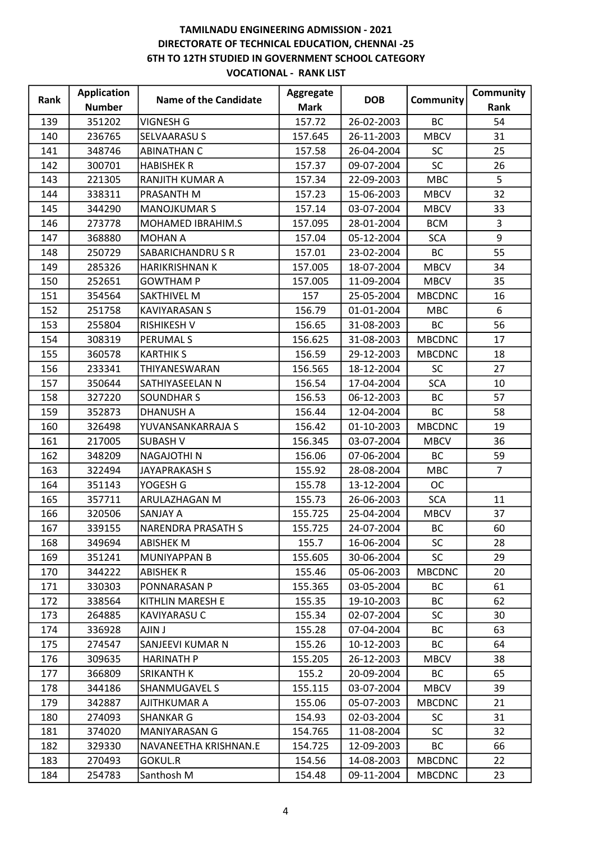|      | <b>Application</b> | <b>Name of the Candidate</b> | <b>Aggregate</b> | <b>DOB</b> |               | Community      |
|------|--------------------|------------------------------|------------------|------------|---------------|----------------|
| Rank | <b>Number</b>      |                              | <b>Mark</b>      |            | Community     | Rank           |
| 139  | 351202             | <b>VIGNESH G</b>             | 157.72           | 26-02-2003 | <b>BC</b>     | 54             |
| 140  | 236765             | SELVAARASU S                 | 157.645          | 26-11-2003 | <b>MBCV</b>   | 31             |
| 141  | 348746             | <b>ABINATHAN C</b>           | 157.58           | 26-04-2004 | <b>SC</b>     | 25             |
| 142  | 300701             | <b>HABISHEK R</b>            | 157.37           | 09-07-2004 | <b>SC</b>     | 26             |
| 143  | 221305             | RANJITH KUMAR A              | 157.34           | 22-09-2003 | <b>MBC</b>    | 5              |
| 144  | 338311             | PRASANTH M                   | 157.23           | 15-06-2003 | <b>MBCV</b>   | 32             |
| 145  | 344290             | <b>MANOJKUMAR S</b>          | 157.14           | 03-07-2004 | <b>MBCV</b>   | 33             |
| 146  | 273778             | MOHAMED IBRAHIM.S            | 157.095          | 28-01-2004 | <b>BCM</b>    | 3              |
| 147  | 368880             | <b>MOHAN A</b>               | 157.04           | 05-12-2004 | <b>SCA</b>    | 9              |
| 148  | 250729             | SABARICHANDRUSR              | 157.01           | 23-02-2004 | <b>BC</b>     | 55             |
| 149  | 285326             | HARIKRISHNAN K               | 157.005          | 18-07-2004 | <b>MBCV</b>   | 34             |
| 150  | 252651             | <b>GOWTHAM P</b>             | 157.005          | 11-09-2004 | <b>MBCV</b>   | 35             |
| 151  | 354564             | <b>SAKTHIVEL M</b>           | 157              | 25-05-2004 | <b>MBCDNC</b> | 16             |
| 152  | 251758             | <b>KAVIYARASAN S</b>         | 156.79           | 01-01-2004 | <b>MBC</b>    | 6              |
| 153  | 255804             | <b>RISHIKESH V</b>           | 156.65           | 31-08-2003 | <b>BC</b>     | 56             |
| 154  | 308319             | PERUMAL S                    | 156.625          | 31-08-2003 | <b>MBCDNC</b> | 17             |
| 155  | 360578             | <b>KARTHIK S</b>             | 156.59           | 29-12-2003 | <b>MBCDNC</b> | 18             |
| 156  | 233341             | THIYANESWARAN                | 156.565          | 18-12-2004 | <b>SC</b>     | 27             |
| 157  | 350644             | SATHIYASEELAN N              | 156.54           | 17-04-2004 | <b>SCA</b>    | 10             |
| 158  | 327220             | <b>SOUNDHAR S</b>            | 156.53           | 06-12-2003 | <b>BC</b>     | 57             |
| 159  | 352873             | <b>DHANUSH A</b>             | 156.44           | 12-04-2004 | BC            | 58             |
| 160  | 326498             | YUVANSANKARRAJA S            | 156.42           | 01-10-2003 | <b>MBCDNC</b> | 19             |
| 161  | 217005             | <b>SUBASH V</b>              | 156.345          | 03-07-2004 | <b>MBCV</b>   | 36             |
| 162  | 348209             | <b>NAGAJOTHIN</b>            | 156.06           | 07-06-2004 | <b>BC</b>     | 59             |
| 163  | 322494             | JAYAPRAKASH S                | 155.92           | 28-08-2004 | <b>MBC</b>    | $\overline{7}$ |
| 164  | 351143             | YOGESH G                     | 155.78           | 13-12-2004 | OC            |                |
| 165  | 357711             | ARULAZHAGAN M                | 155.73           | 26-06-2003 | <b>SCA</b>    | 11             |
| 166  | 320506             | SANJAY A                     | 155.725          | 25-04-2004 | <b>MBCV</b>   | 37             |
| 167  | 339155             | <b>NARENDRA PRASATH S</b>    | 155.725          | 24-07-2004 | <b>BC</b>     | 60             |
| 168  | 349694             | <b>ABISHEK M</b>             | 155.7            | 16-06-2004 | <b>SC</b>     | 28             |
| 169  | 351241             | MUNIYAPPAN B                 | 155.605          | 30-06-2004 | <b>SC</b>     | 29             |
| 170  | 344222             | <b>ABISHEK R</b>             | 155.46           | 05-06-2003 | <b>MBCDNC</b> | 20             |
| 171  | 330303             | PONNARASAN P                 | 155.365          | 03-05-2004 | BC            | 61             |
| 172  | 338564             | KITHLIN MARESH E             | 155.35           | 19-10-2003 | <b>BC</b>     | 62             |
| 173  | 264885             | <b>KAVIYARASU C</b>          | 155.34           | 02-07-2004 | <b>SC</b>     | 30             |
| 174  | 336928             | AJIN J                       | 155.28           | 07-04-2004 | <b>BC</b>     | 63             |
| 175  | 274547             | SANJEEVI KUMAR N             | 155.26           | 10-12-2003 | ВC            | 64             |
| 176  | 309635             | <b>HARINATH P</b>            | 155.205          | 26-12-2003 | <b>MBCV</b>   | 38             |
| 177  | 366809             | SRIKANTH K                   | 155.2            | 20-09-2004 | BC            | 65             |
| 178  | 344186             | SHANMUGAVEL S                | 155.115          | 03-07-2004 | <b>MBCV</b>   | 39             |
| 179  | 342887             | AJITHKUMAR A                 | 155.06           | 05-07-2003 | <b>MBCDNC</b> | 21             |
| 180  | 274093             | <b>SHANKAR G</b>             | 154.93           | 02-03-2004 | <b>SC</b>     | 31             |
| 181  | 374020             | MANIYARASAN G                | 154.765          | 11-08-2004 | <b>SC</b>     | 32             |
| 182  | 329330             | NAVANEETHA KRISHNAN.E        | 154.725          | 12-09-2003 | BC            | 66             |
| 183  | 270493             | GOKUL.R                      | 154.56           | 14-08-2003 | <b>MBCDNC</b> | 22             |
| 184  | 254783             | Santhosh M                   | 154.48           | 09-11-2004 | <b>MBCDNC</b> | 23             |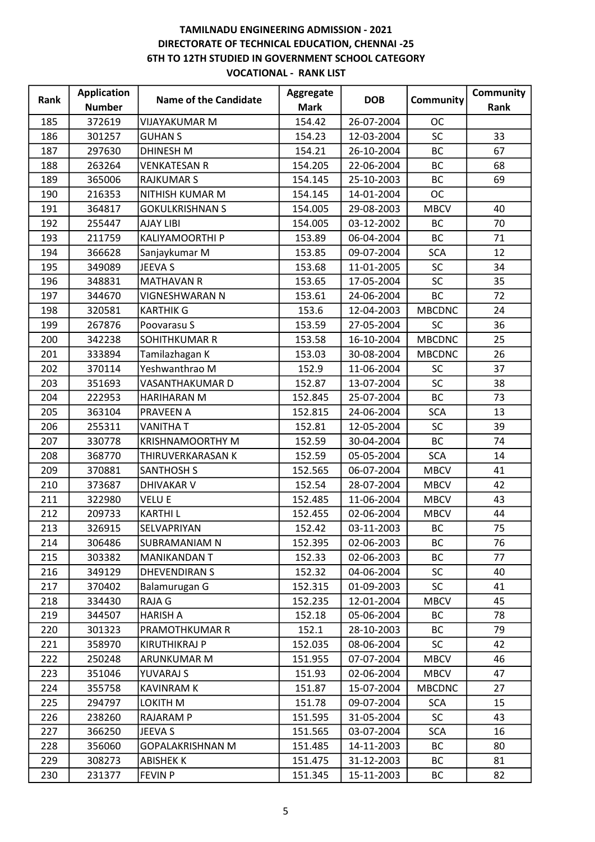| Rank | <b>Application</b> | <b>Name of the Candidate</b> | Aggregate   | <b>DOB</b> | Community     | Community |
|------|--------------------|------------------------------|-------------|------------|---------------|-----------|
|      | <b>Number</b>      |                              | <b>Mark</b> |            |               | Rank      |
| 185  | 372619             | <b>VIJAYAKUMAR M</b>         | 154.42      | 26-07-2004 | <b>OC</b>     |           |
| 186  | 301257             | <b>GUHAN S</b>               | 154.23      | 12-03-2004 | <b>SC</b>     | 33        |
| 187  | 297630             | <b>DHINESH M</b>             | 154.21      | 26-10-2004 | <b>BC</b>     | 67        |
| 188  | 263264             | <b>VENKATESAN R</b>          | 154.205     | 22-06-2004 | <b>BC</b>     | 68        |
| 189  | 365006             | <b>RAJKUMAR S</b>            | 154.145     | 25-10-2003 | <b>BC</b>     | 69        |
| 190  | 216353             | NITHISH KUMAR M              | 154.145     | 14-01-2004 | <b>OC</b>     |           |
| 191  | 364817             | <b>GOKULKRISHNAN S</b>       | 154.005     | 29-08-2003 | <b>MBCV</b>   | 40        |
| 192  | 255447             | <b>AJAY LIBI</b>             | 154.005     | 03-12-2002 | <b>BC</b>     | 70        |
| 193  | 211759             | KALIYAMOORTHI P              | 153.89      | 06-04-2004 | <b>BC</b>     | 71        |
| 194  | 366628             | Sanjaykumar M                | 153.85      | 09-07-2004 | <b>SCA</b>    | 12        |
| 195  | 349089             | JEEVA S                      | 153.68      | 11-01-2005 | <b>SC</b>     | 34        |
| 196  | 348831             | <b>MATHAVAN R</b>            | 153.65      | 17-05-2004 | SC            | 35        |
| 197  | 344670             | VIGNESHWARAN N               | 153.61      | 24-06-2004 | <b>BC</b>     | 72        |
| 198  | 320581             | <b>KARTHIK G</b>             | 153.6       | 12-04-2003 | <b>MBCDNC</b> | 24        |
| 199  | 267876             | Poovarasu S                  | 153.59      | 27-05-2004 | <b>SC</b>     | 36        |
| 200  | 342238             | SOHITHKUMAR R                | 153.58      | 16-10-2004 | <b>MBCDNC</b> | 25        |
| 201  | 333894             | Tamilazhagan K               | 153.03      | 30-08-2004 | <b>MBCDNC</b> | 26        |
| 202  | 370114             | Yeshwanthrao M               | 152.9       | 11-06-2004 | <b>SC</b>     | 37        |
| 203  | 351693             | VASANTHAKUMAR D              | 152.87      | 13-07-2004 | SC            | 38        |
| 204  | 222953             | HARIHARAN M                  | 152.845     | 25-07-2004 | <b>BC</b>     | 73        |
| 205  | 363104             | PRAVEEN A                    | 152.815     | 24-06-2004 | <b>SCA</b>    | 13        |
| 206  | 255311             | <b>VANITHAT</b>              | 152.81      | 12-05-2004 | <b>SC</b>     | 39        |
| 207  | 330778             | <b>KRISHNAMOORTHY M</b>      | 152.59      | 30-04-2004 | <b>BC</b>     | 74        |
| 208  | 368770             | THIRUVERKARASAN K            | 152.59      | 05-05-2004 | <b>SCA</b>    | 14        |
| 209  | 370881             | <b>SANTHOSH S</b>            | 152.565     | 06-07-2004 | <b>MBCV</b>   | 41        |
| 210  | 373687             | <b>DHIVAKAR V</b>            | 152.54      | 28-07-2004 | <b>MBCV</b>   | 42        |
| 211  | 322980             | <b>VELUE</b>                 | 152.485     | 11-06-2004 | <b>MBCV</b>   | 43        |
| 212  | 209733             | <b>KARTHIL</b>               | 152.455     | 02-06-2004 | <b>MBCV</b>   | 44        |
| 213  | 326915             | SELVAPRIYAN                  | 152.42      | 03-11-2003 | <b>BC</b>     | 75        |
| 214  | 306486             | SUBRAMANIAM N                | 152.395     | 02-06-2003 | BC            | 76        |
| 215  | 303382             | <b>MANIKANDAN T</b>          | 152.33      | 02-06-2003 | <b>BC</b>     | 77        |
| 216  | 349129             | <b>DHEVENDIRAN S</b>         | 152.32      | 04-06-2004 | <b>SC</b>     | 40        |
| 217  | 370402             | Balamurugan G                | 152.315     | 01-09-2003 | <b>SC</b>     | 41        |
| 218  | 334430             | RAJA G                       | 152.235     | 12-01-2004 | <b>MBCV</b>   | 45        |
| 219  | 344507             | <b>HARISH A</b>              | 152.18      | 05-06-2004 | <b>BC</b>     | 78        |
| 220  | 301323             | PRAMOTHKUMAR R               | 152.1       | 28-10-2003 | BC            | 79        |
| 221  | 358970             | <b>KIRUTHIKRAJ P</b>         | 152.035     | 08-06-2004 | <b>SC</b>     | 42        |
| 222  | 250248             | ARUNKUMAR M                  | 151.955     | 07-07-2004 | <b>MBCV</b>   | 46        |
| 223  | 351046             | YUVARAJ S                    | 151.93      | 02-06-2004 | <b>MBCV</b>   | 47        |
| 224  | 355758             | <b>KAVINRAM K</b>            | 151.87      | 15-07-2004 | <b>MBCDNC</b> | 27        |
| 225  | 294797             | LOKITH M                     | 151.78      | 09-07-2004 | <b>SCA</b>    | 15        |
| 226  | 238260             | RAJARAM P                    | 151.595     | 31-05-2004 | <b>SC</b>     | 43        |
| 227  | 366250             | JEEVA S                      | 151.565     | 03-07-2004 | <b>SCA</b>    | 16        |
| 228  | 356060             | <b>GOPALAKRISHNAN M</b>      | 151.485     | 14-11-2003 | <b>BC</b>     | 80        |
| 229  | 308273             | <b>ABISHEK K</b>             | 151.475     | 31-12-2003 | BC            | 81        |
| 230  | 231377             | <b>FEVIN P</b>               | 151.345     | 15-11-2003 | BC            | 82        |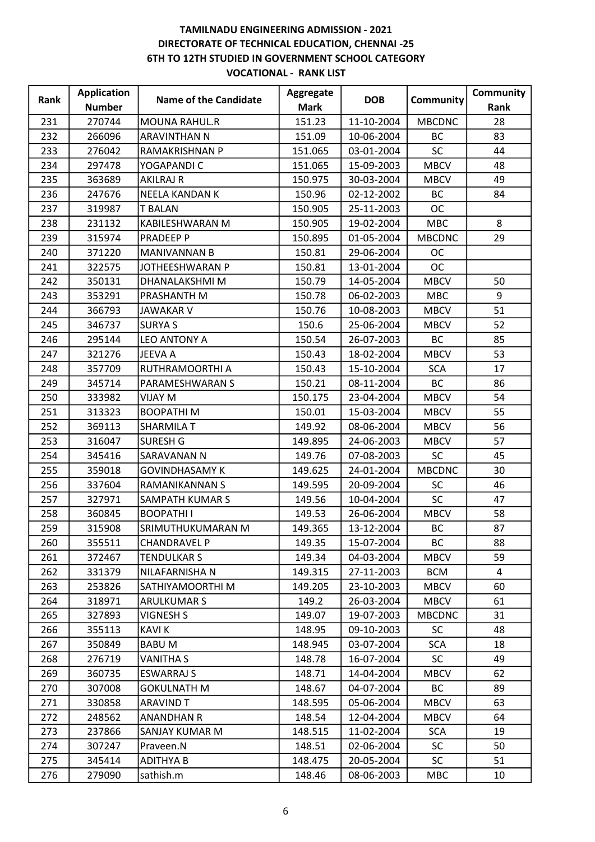| Rank | <b>Application</b> | <b>Name of the Candidate</b> | Aggregate   | <b>DOB</b> | Community     | Community |
|------|--------------------|------------------------------|-------------|------------|---------------|-----------|
|      | <b>Number</b>      |                              | <b>Mark</b> |            |               | Rank      |
| 231  | 270744             | <b>MOUNA RAHUL.R</b>         | 151.23      | 11-10-2004 | <b>MBCDNC</b> | 28        |
| 232  | 266096             | <b>ARAVINTHAN N</b>          | 151.09      | 10-06-2004 | <b>BC</b>     | 83        |
| 233  | 276042             | <b>RAMAKRISHNAN P</b>        | 151.065     | 03-01-2004 | <b>SC</b>     | 44        |
| 234  | 297478             | YOGAPANDI C                  | 151.065     | 15-09-2003 | <b>MBCV</b>   | 48        |
| 235  | 363689             | <b>AKILRAJ R</b>             | 150.975     | 30-03-2004 | <b>MBCV</b>   | 49        |
| 236  | 247676             | NEELA KANDAN K               | 150.96      | 02-12-2002 | <b>BC</b>     | 84        |
| 237  | 319987             | <b>T BALAN</b>               | 150.905     | 25-11-2003 | <b>OC</b>     |           |
| 238  | 231132             | KABILESHWARAN M              | 150.905     | 19-02-2004 | <b>MBC</b>    | 8         |
| 239  | 315974             | PRADEEP P                    | 150.895     | 01-05-2004 | <b>MBCDNC</b> | 29        |
| 240  | 371220             | MANIVANNAN B                 | 150.81      | 29-06-2004 | <b>OC</b>     |           |
| 241  | 322575             | JOTHEESHWARAN P              | 150.81      | 13-01-2004 | <b>OC</b>     |           |
| 242  | 350131             | DHANALAKSHMI M               | 150.79      | 14-05-2004 | <b>MBCV</b>   | 50        |
| 243  | 353291             | PRASHANTH M                  | 150.78      | 06-02-2003 | <b>MBC</b>    | 9         |
| 244  | 366793             | <b>JAWAKAR V</b>             | 150.76      | 10-08-2003 | <b>MBCV</b>   | 51        |
| 245  | 346737             | <b>SURYA S</b>               | 150.6       | 25-06-2004 | <b>MBCV</b>   | 52        |
| 246  | 295144             | LEO ANTONY A                 | 150.54      | 26-07-2003 | <b>BC</b>     | 85        |
| 247  | 321276             | JEEVA A                      | 150.43      | 18-02-2004 | <b>MBCV</b>   | 53        |
| 248  | 357709             | RUTHRAMOORTHI A              | 150.43      | 15-10-2004 | <b>SCA</b>    | 17        |
| 249  | 345714             | PARAMESHWARAN S              | 150.21      | 08-11-2004 | <b>BC</b>     | 86        |
| 250  | 333982             | <b>VIJAY M</b>               | 150.175     | 23-04-2004 | <b>MBCV</b>   | 54        |
| 251  | 313323             | <b>BOOPATHIM</b>             | 150.01      | 15-03-2004 | <b>MBCV</b>   | 55        |
| 252  | 369113             | <b>SHARMILA T</b>            | 149.92      | 08-06-2004 | <b>MBCV</b>   | 56        |
| 253  | 316047             | <b>SURESH G</b>              | 149.895     | 24-06-2003 | <b>MBCV</b>   | 57        |
| 254  | 345416             | SARAVANAN N                  | 149.76      | 07-08-2003 | <b>SC</b>     | 45        |
| 255  | 359018             | <b>GOVINDHASAMY K</b>        | 149.625     | 24-01-2004 | <b>MBCDNC</b> | 30        |
| 256  | 337604             | RAMANIKANNAN S               | 149.595     | 20-09-2004 | <b>SC</b>     | 46        |
| 257  | 327971             | <b>SAMPATH KUMAR S</b>       | 149.56      | 10-04-2004 | <b>SC</b>     | 47        |
| 258  | 360845             | <b>BOOPATHII</b>             | 149.53      | 26-06-2004 | <b>MBCV</b>   | 58        |
| 259  | 315908             | SRIMUTHUKUMARAN M            | 149.365     | 13-12-2004 | <b>BC</b>     | 87        |
| 260  | 355511             | CHANDRAVEL P                 | 149.35      | 15-07-2004 | BC            | 88        |
| 261  | 372467             | <b>TENDULKAR S</b>           | 149.34      | 04-03-2004 | <b>MBCV</b>   | 59        |
| 262  | 331379             | NILAFARNISHA N               | 149.315     | 27-11-2003 | <b>BCM</b>    | 4         |
| 263  | 253826             | SATHIYAMOORTHI M             | 149.205     | 23-10-2003 | <b>MBCV</b>   | 60        |
| 264  | 318971             | <b>ARULKUMAR S</b>           | 149.2       | 26-03-2004 | <b>MBCV</b>   | 61        |
| 265  | 327893             | <b>VIGNESH S</b>             | 149.07      | 19-07-2003 | <b>MBCDNC</b> | 31        |
| 266  | 355113             | <b>KAVIK</b>                 | 148.95      | 09-10-2003 | <b>SC</b>     | 48        |
| 267  | 350849             | <b>BABUM</b>                 | 148.945     | 03-07-2004 | <b>SCA</b>    | 18        |
| 268  | 276719             | <b>VANITHA S</b>             | 148.78      | 16-07-2004 | <b>SC</b>     | 49        |
| 269  | 360735             | ESWARRAJ S                   | 148.71      | 14-04-2004 | <b>MBCV</b>   | 62        |
| 270  | 307008             | <b>GOKULNATH M</b>           | 148.67      | 04-07-2004 | BC            | 89        |
| 271  | 330858             | <b>ARAVIND T</b>             | 148.595     | 05-06-2004 | <b>MBCV</b>   | 63        |
| 272  | 248562             | <b>ANANDHAN R</b>            | 148.54      | 12-04-2004 | <b>MBCV</b>   | 64        |
| 273  | 237866             | SANJAY KUMAR M               | 148.515     | 11-02-2004 | <b>SCA</b>    | 19        |
| 274  | 307247             | Praveen.N                    | 148.51      | 02-06-2004 | <b>SC</b>     | 50        |
| 275  | 345414             | <b>ADITHYA B</b>             | 148.475     | 20-05-2004 | <b>SC</b>     | 51        |
| 276  | 279090             | sathish.m                    | 148.46      | 08-06-2003 | <b>MBC</b>    | 10        |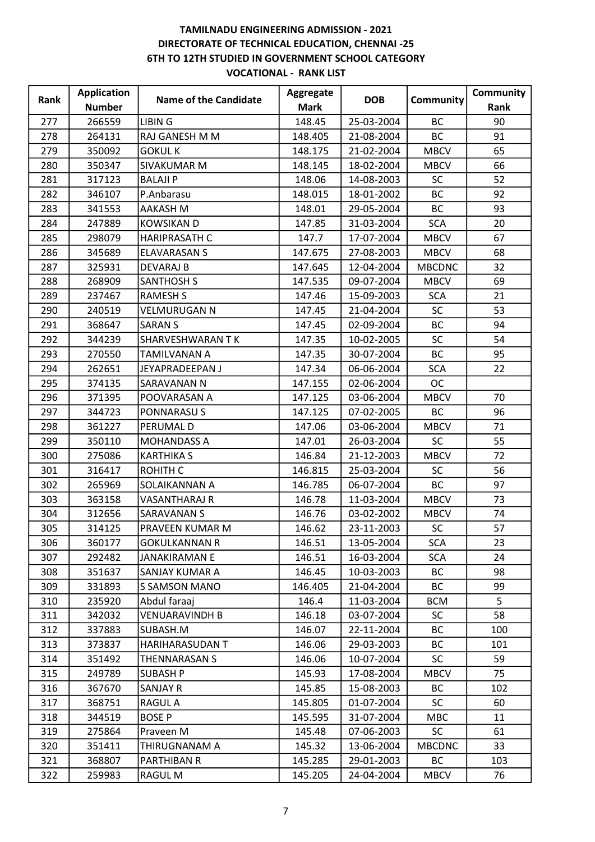| Rank | <b>Application</b> | <b>Name of the Candidate</b> | Aggregate   | <b>DOB</b> | Community     | Community |
|------|--------------------|------------------------------|-------------|------------|---------------|-----------|
|      | <b>Number</b>      |                              | <b>Mark</b> |            |               | Rank      |
| 277  | 266559             | <b>LIBING</b>                | 148.45      | 25-03-2004 | <b>BC</b>     | 90        |
| 278  | 264131             | RAJ GANESH M M               | 148.405     | 21-08-2004 | BC            | 91        |
| 279  | 350092             | <b>GOKUL K</b>               | 148.175     | 21-02-2004 | <b>MBCV</b>   | 65        |
| 280  | 350347             | <b>SIVAKUMAR M</b>           | 148.145     | 18-02-2004 | <b>MBCV</b>   | 66        |
| 281  | 317123             | <b>BALAJI P</b>              | 148.06      | 14-08-2003 | <b>SC</b>     | 52        |
| 282  | 346107             | P.Anbarasu                   | 148.015     | 18-01-2002 | BC            | 92        |
| 283  | 341553             | AAKASH M                     | 148.01      | 29-05-2004 | <b>BC</b>     | 93        |
| 284  | 247889             | <b>KOWSIKAN D</b>            | 147.85      | 31-03-2004 | <b>SCA</b>    | 20        |
| 285  | 298079             | <b>HARIPRASATH C</b>         | 147.7       | 17-07-2004 | <b>MBCV</b>   | 67        |
| 286  | 345689             | <b>ELAVARASAN S</b>          | 147.675     | 27-08-2003 | <b>MBCV</b>   | 68        |
| 287  | 325931             | <b>DEVARAJ B</b>             | 147.645     | 12-04-2004 | <b>MBCDNC</b> | 32        |
| 288  | 268909             | <b>SANTHOSH S</b>            | 147.535     | 09-07-2004 | <b>MBCV</b>   | 69        |
| 289  | 237467             | <b>RAMESH S</b>              | 147.46      | 15-09-2003 | <b>SCA</b>    | 21        |
| 290  | 240519             | <b>VELMURUGAN N</b>          | 147.45      | 21-04-2004 | <b>SC</b>     | 53        |
| 291  | 368647             | <b>SARAN S</b>               | 147.45      | 02-09-2004 | BC            | 94        |
| 292  | 344239             | SHARVESHWARAN TK             | 147.35      | 10-02-2005 | <b>SC</b>     | 54        |
| 293  | 270550             | <b>TAMILVANAN A</b>          | 147.35      | 30-07-2004 | <b>BC</b>     | 95        |
| 294  | 262651             | JEYAPRADEEPAN J              | 147.34      | 06-06-2004 | <b>SCA</b>    | 22        |
| 295  | 374135             | SARAVANAN N                  | 147.155     | 02-06-2004 | <b>OC</b>     |           |
| 296  | 371395             | POOVARASAN A                 | 147.125     | 03-06-2004 | <b>MBCV</b>   | 70        |
| 297  | 344723             | PONNARASU S                  | 147.125     | 07-02-2005 | BC            | 96        |
| 298  | 361227             | PERUMAL D                    | 147.06      | 03-06-2004 | <b>MBCV</b>   | 71        |
| 299  | 350110             | <b>MOHANDASS A</b>           | 147.01      | 26-03-2004 | <b>SC</b>     | 55        |
| 300  | 275086             | <b>KARTHIKA S</b>            | 146.84      | 21-12-2003 | <b>MBCV</b>   | 72        |
| 301  | 316417             | <b>ROHITH C</b>              | 146.815     | 25-03-2004 | <b>SC</b>     | 56        |
| 302  | 265969             | SOLAIKANNAN A                | 146.785     | 06-07-2004 | <b>BC</b>     | 97        |
| 303  | 363158             | VASANTHARAJ R                | 146.78      | 11-03-2004 | <b>MBCV</b>   | 73        |
| 304  | 312656             | <b>SARAVANAN S</b>           | 146.76      | 03-02-2002 | <b>MBCV</b>   | 74        |
| 305  | 314125             | PRAVEEN KUMAR M              | 146.62      | 23-11-2003 | <b>SC</b>     | 57        |
| 306  | 360177             | <b>GOKULKANNAN R</b>         | 146.51      | 13-05-2004 | <b>SCA</b>    | 23        |
| 307  | 292482             | <b>JANAKIRAMAN E</b>         | 146.51      | 16-03-2004 | <b>SCA</b>    | 24        |
| 308  | 351637             | SANJAY KUMAR A               | 146.45      | 10-03-2003 | BC            | 98        |
| 309  | 331893             | S SAMSON MANO                | 146.405     | 21-04-2004 | BC            | 99        |
| 310  | 235920             | Abdul faraaj                 | 146.4       | 11-03-2004 | <b>BCM</b>    | 5         |
| 311  | 342032             | <b>VENUARAVINDH B</b>        | 146.18      | 03-07-2004 | SC            | 58        |
| 312  | 337883             | SUBASH.M                     | 146.07      | 22-11-2004 | ВC            | 100       |
| 313  | 373837             | HARIHARASUDAN T              | 146.06      | 29-03-2003 | BC            | 101       |
| 314  | 351492             | THENNARASAN S                | 146.06      | 10-07-2004 | <b>SC</b>     | 59        |
| 315  | 249789             | SUBASH P                     | 145.93      | 17-08-2004 | <b>MBCV</b>   | 75        |
| 316  | 367670             | <b>SANJAY R</b>              | 145.85      | 15-08-2003 | ВC            | 102       |
| 317  | 368751             | RAGUL A                      | 145.805     | 01-07-2004 | <b>SC</b>     | 60        |
| 318  | 344519             | <b>BOSE P</b>                | 145.595     | 31-07-2004 | <b>MBC</b>    | 11        |
| 319  | 275864             | Praveen M                    | 145.48      | 07-06-2003 | <b>SC</b>     | 61        |
| 320  | 351411             | THIRUGNANAM A                | 145.32      | 13-06-2004 | <b>MBCDNC</b> | 33        |
| 321  | 368807             | PARTHIBAN R                  | 145.285     | 29-01-2003 | BC            | 103       |
| 322  | 259983             | RAGUL M                      | 145.205     | 24-04-2004 | <b>MBCV</b>   | 76        |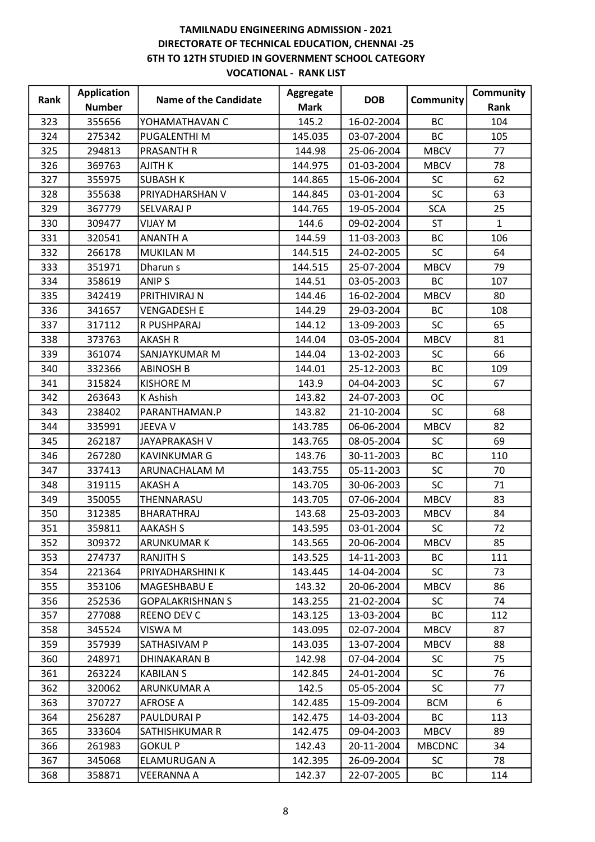|      | <b>Application</b> | <b>Name of the Candidate</b> | Aggregate   | <b>DOB</b> | Community     | Community    |
|------|--------------------|------------------------------|-------------|------------|---------------|--------------|
| Rank | <b>Number</b>      |                              | <b>Mark</b> |            |               | Rank         |
| 323  | 355656             | YOHAMATHAVAN C               | 145.2       | 16-02-2004 | BC            | 104          |
| 324  | 275342             | PUGALENTHI M                 | 145.035     | 03-07-2004 | BC            | 105          |
| 325  | 294813             | <b>PRASANTH R</b>            | 144.98      | 25-06-2004 | <b>MBCV</b>   | 77           |
| 326  | 369763             | <b>AJITH K</b>               | 144.975     | 01-03-2004 | <b>MBCV</b>   | 78           |
| 327  | 355975             | <b>SUBASH K</b>              | 144.865     | 15-06-2004 | <b>SC</b>     | 62           |
| 328  | 355638             | PRIYADHARSHAN V              | 144.845     | 03-01-2004 | SC            | 63           |
| 329  | 367779             | <b>SELVARAJ P</b>            | 144.765     | 19-05-2004 | <b>SCA</b>    | 25           |
| 330  | 309477             | <b>NIJAY</b> M               | 144.6       | 09-02-2004 | <b>ST</b>     | $\mathbf{1}$ |
| 331  | 320541             | <b>ANANTH A</b>              | 144.59      | 11-03-2003 | BC            | 106          |
| 332  | 266178             | <b>MUKILAN M</b>             | 144.515     | 24-02-2005 | <b>SC</b>     | 64           |
| 333  | 351971             | Dharun s                     | 144.515     | 25-07-2004 | <b>MBCV</b>   | 79           |
| 334  | 358619             | <b>ANIPS</b>                 | 144.51      | 03-05-2003 | <b>BC</b>     | 107          |
| 335  | 342419             | PRITHIVIRAJ N                | 144.46      | 16-02-2004 | <b>MBCV</b>   | 80           |
| 336  | 341657             | <b>VENGADESH E</b>           | 144.29      | 29-03-2004 | <b>BC</b>     | 108          |
| 337  | 317112             | R PUSHPARAJ                  | 144.12      | 13-09-2003 | <b>SC</b>     | 65           |
| 338  | 373763             | <b>AKASH R</b>               | 144.04      | 03-05-2004 | <b>MBCV</b>   | 81           |
| 339  | 361074             | SANJAYKUMAR M                | 144.04      | 13-02-2003 | <b>SC</b>     | 66           |
| 340  | 332366             | <b>ABINOSH B</b>             | 144.01      | 25-12-2003 | BC            | 109          |
| 341  | 315824             | <b>KISHORE M</b>             | 143.9       | 04-04-2003 | <b>SC</b>     | 67           |
| 342  | 263643             | K Ashish                     | 143.82      | 24-07-2003 | <b>OC</b>     |              |
| 343  | 238402             | PARANTHAMAN.P                | 143.82      | 21-10-2004 | <b>SC</b>     | 68           |
| 344  | 335991             | JEEVA V                      | 143.785     | 06-06-2004 | <b>MBCV</b>   | 82           |
| 345  | 262187             | JAYAPRAKASH V                | 143.765     | 08-05-2004 | <b>SC</b>     | 69           |
| 346  | 267280             | <b>KAVINKUMAR G</b>          | 143.76      | 30-11-2003 | <b>BC</b>     | 110          |
| 347  | 337413             | ARUNACHALAM M                | 143.755     | 05-11-2003 | <b>SC</b>     | 70           |
| 348  | 319115             | <b>AKASH A</b>               | 143.705     | 30-06-2003 | <b>SC</b>     | 71           |
| 349  | 350055             | THENNARASU                   | 143.705     | 07-06-2004 | <b>MBCV</b>   | 83           |
| 350  | 312385             | BHARATHRAJ                   | 143.68      | 25-03-2003 | <b>MBCV</b>   | 84           |
| 351  | 359811             | <b>AAKASH S</b>              | 143.595     | 03-01-2004 | <b>SC</b>     | 72           |
| 352  | 309372             | <b>ARUNKUMAR K</b>           | 143.565     | 20-06-2004 | <b>MBCV</b>   | 85           |
| 353  | 274737             | <b>RANJITH S</b>             | 143.525     | 14-11-2003 | <b>BC</b>     | 111          |
| 354  | 221364             | PRIYADHARSHINI K             | 143.445     | 14-04-2004 | <b>SC</b>     | 73           |
| 355  | 353106             | MAGESHBABU E                 | 143.32      | 20-06-2004 | <b>MBCV</b>   | 86           |
| 356  | 252536             | <b>GOPALAKRISHNAN S</b>      | 143.255     | 21-02-2004 | <b>SC</b>     | 74           |
| 357  | 277088             | REENO DEV C                  | 143.125     | 13-03-2004 | ВC            | 112          |
| 358  | 345524             | VISWA M                      | 143.095     | 02-07-2004 | <b>MBCV</b>   | 87           |
| 359  | 357939             | SATHASIVAM P                 | 143.035     | 13-07-2004 | <b>MBCV</b>   | 88           |
| 360  | 248971             | <b>DHINAKARAN B</b>          | 142.98      | 07-04-2004 | <b>SC</b>     | 75           |
| 361  | 263224             | <b>KABILAN S</b>             | 142.845     | 24-01-2004 | <b>SC</b>     | 76           |
| 362  | 320062             | <b>ARUNKUMAR A</b>           | 142.5       | 05-05-2004 | SC            | 77           |
| 363  | 370727             | <b>AFROSE A</b>              | 142.485     | 15-09-2004 | <b>BCM</b>    | 6            |
| 364  | 256287             | PAULDURAI P                  | 142.475     | 14-03-2004 | ВC            | 113          |
| 365  | 333604             | SATHISHKUMAR R               | 142.475     | 09-04-2003 | <b>MBCV</b>   | 89           |
| 366  | 261983             | <b>GOKUL P</b>               | 142.43      | 20-11-2004 | <b>MBCDNC</b> | 34           |
| 367  | 345068             | ELAMURUGAN A                 | 142.395     | 26-09-2004 | <b>SC</b>     | 78           |
| 368  | 358871             | <b>VEERANNA A</b>            | 142.37      | 22-07-2005 | ВC            | 114          |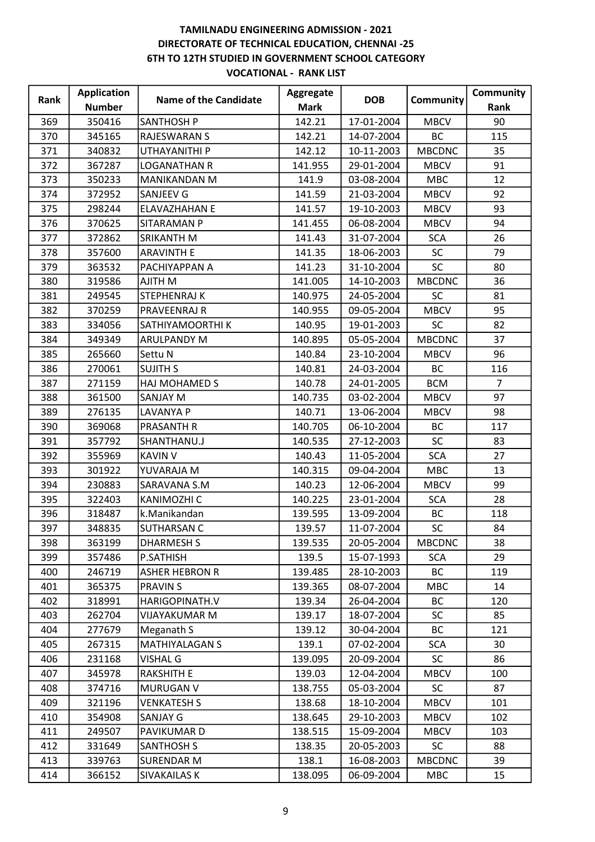| Rank | <b>Application</b> | <b>Name of the Candidate</b> | <b>Aggregate</b> | <b>DOB</b> | Community     | Community      |
|------|--------------------|------------------------------|------------------|------------|---------------|----------------|
|      | <b>Number</b>      |                              | <b>Mark</b>      |            |               | Rank           |
| 369  | 350416             | <b>SANTHOSH P</b>            | 142.21           | 17-01-2004 | <b>MBCV</b>   | 90             |
| 370  | 345165             | <b>RAJESWARAN S</b>          | 142.21           | 14-07-2004 | <b>BC</b>     | 115            |
| 371  | 340832             | UTHAYANITHI P                | 142.12           | 10-11-2003 | <b>MBCDNC</b> | 35             |
| 372  | 367287             | <b>LOGANATHAN R</b>          | 141.955          | 29-01-2004 | <b>MBCV</b>   | 91             |
| 373  | 350233             | <b>MANIKANDAN M</b>          | 141.9            | 03-08-2004 | <b>MBC</b>    | 12             |
| 374  | 372952             | SANJEEV G                    | 141.59           | 21-03-2004 | <b>MBCV</b>   | 92             |
| 375  | 298244             | ELAVAZHAHAN E                | 141.57           | 19-10-2003 | <b>MBCV</b>   | 93             |
| 376  | 370625             | SITARAMAN P                  | 141.455          | 06-08-2004 | <b>MBCV</b>   | 94             |
| 377  | 372862             | SRIKANTH M                   | 141.43           | 31-07-2004 | <b>SCA</b>    | 26             |
| 378  | 357600             | <b>ARAVINTH E</b>            | 141.35           | 18-06-2003 | <b>SC</b>     | 79             |
| 379  | 363532             | PACHIYAPPAN A                | 141.23           | 31-10-2004 | <b>SC</b>     | 80             |
| 380  | 319586             | AJITH M                      | 141.005          | 14-10-2003 | <b>MBCDNC</b> | 36             |
| 381  | 249545             | <b>STEPHENRAJ K</b>          | 140.975          | 24-05-2004 | <b>SC</b>     | 81             |
| 382  | 370259             | PRAVEENRAJ R                 | 140.955          | 09-05-2004 | <b>MBCV</b>   | 95             |
| 383  | 334056             | SATHIYAMOORTHI K             | 140.95           | 19-01-2003 | <b>SC</b>     | 82             |
| 384  | 349349             | ARULPANDY M                  | 140.895          | 05-05-2004 | <b>MBCDNC</b> | 37             |
| 385  | 265660             | Settu N                      | 140.84           | 23-10-2004 | <b>MBCV</b>   | 96             |
| 386  | 270061             | <b>SUJITH S</b>              | 140.81           | 24-03-2004 | <b>BC</b>     | 116            |
| 387  | 271159             | HAJ MOHAMED S                | 140.78           | 24-01-2005 | <b>BCM</b>    | $\overline{7}$ |
| 388  | 361500             | SANJAY M                     | 140.735          | 03-02-2004 | <b>MBCV</b>   | 97             |
| 389  | 276135             | <b>LAVANYA P</b>             | 140.71           | 13-06-2004 | <b>MBCV</b>   | 98             |
| 390  | 369068             | <b>PRASANTH R</b>            | 140.705          | 06-10-2004 | BC            | 117            |
| 391  | 357792             | SHANTHANU.J                  | 140.535          | 27-12-2003 | <b>SC</b>     | 83             |
| 392  | 355969             | <b>KAVIN V</b>               | 140.43           | 11-05-2004 | <b>SCA</b>    | 27             |
| 393  | 301922             | YUVARAJA M                   | 140.315          | 09-04-2004 | <b>MBC</b>    | 13             |
| 394  | 230883             | SARAVANA S.M                 | 140.23           | 12-06-2004 | <b>MBCV</b>   | 99             |
| 395  | 322403             | KANIMOZHI C                  | 140.225          | 23-01-2004 | <b>SCA</b>    | 28             |
| 396  | 318487             | k.Manikandan                 | 139.595          | 13-09-2004 | BC            | 118            |
| 397  | 348835             | <b>SUTHARSAN C</b>           | 139.57           | 11-07-2004 | <b>SC</b>     | 84             |
| 398  | 363199             | <b>DHARMESH S</b>            | 139.535          | 20-05-2004 | <b>MBCDNC</b> | 38             |
| 399  | 357486             | P.SATHISH                    | 139.5            | 15-07-1993 | <b>SCA</b>    | 29             |
| 400  | 246719             | <b>ASHER HEBRON R</b>        | 139.485          | 28-10-2003 | BC            | 119            |
| 401  | 365375             | <b>PRAVIN S</b>              | 139.365          | 08-07-2004 | <b>MBC</b>    | 14             |
| 402  | 318991             | HARIGOPINATH.V               | 139.34           | 26-04-2004 | BC            | 120            |
| 403  | 262704             | VIJAYAKUMAR M                | 139.17           | 18-07-2004 | <b>SC</b>     | 85             |
| 404  | 277679             | Meganath S                   | 139.12           | 30-04-2004 | ВC            | 121            |
| 405  | 267315             | <b>MATHIYALAGAN S</b>        | 139.1            | 07-02-2004 | <b>SCA</b>    | 30             |
| 406  | 231168             | <b>VISHAL G</b>              | 139.095          | 20-09-2004 | <b>SC</b>     | 86             |
| 407  | 345978             | <b>RAKSHITH E</b>            | 139.03           | 12-04-2004 | <b>MBCV</b>   | 100            |
| 408  | 374716             | MURUGAN V                    | 138.755          | 05-03-2004 | SC            | 87             |
| 409  | 321196             | <b>VENKATESH S</b>           | 138.68           | 18-10-2004 | <b>MBCV</b>   | 101            |
| 410  | 354908             | SANJAY G                     | 138.645          | 29-10-2003 | <b>MBCV</b>   | 102            |
| 411  | 249507             | PAVIKUMAR D                  | 138.515          | 15-09-2004 | <b>MBCV</b>   | 103            |
| 412  | 331649             | <b>SANTHOSH S</b>            | 138.35           | 20-05-2003 | <b>SC</b>     | 88             |
| 413  | 339763             | <b>SURENDAR M</b>            | 138.1            | 16-08-2003 | <b>MBCDNC</b> | 39             |
| 414  | 366152             | SIVAKAILAS K                 | 138.095          | 06-09-2004 | <b>MBC</b>    | 15             |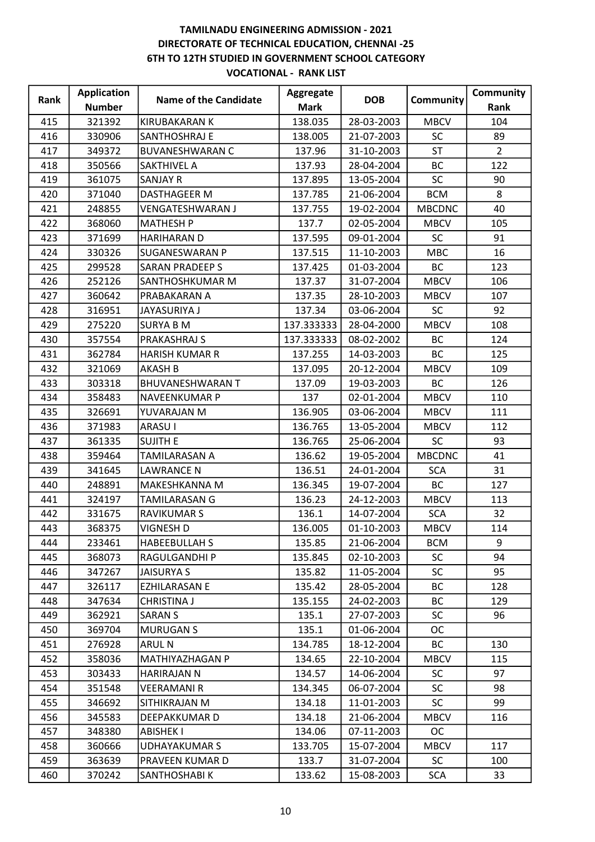|      | <b>Application</b> |                              | Aggregate   | <b>DOB</b> |               | Community      |
|------|--------------------|------------------------------|-------------|------------|---------------|----------------|
| Rank | <b>Number</b>      | <b>Name of the Candidate</b> | <b>Mark</b> |            | Community     | Rank           |
| 415  | 321392             | KIRUBAKARAN K                | 138.035     | 28-03-2003 | <b>MBCV</b>   | 104            |
| 416  | 330906             | SANTHOSHRAJ E                | 138.005     | 21-07-2003 | <b>SC</b>     | 89             |
| 417  | 349372             | <b>BUVANESHWARAN C</b>       | 137.96      | 31-10-2003 | <b>ST</b>     | $\overline{2}$ |
| 418  | 350566             | <b>SAKTHIVEL A</b>           | 137.93      | 28-04-2004 | BC            | 122            |
| 419  | 361075             | <b>SANJAY R</b>              | 137.895     | 13-05-2004 | <b>SC</b>     | 90             |
| 420  | 371040             | <b>DASTHAGEER M</b>          | 137.785     | 21-06-2004 | <b>BCM</b>    | 8              |
| 421  | 248855             | <b>VENGATESHWARAN J</b>      | 137.755     | 19-02-2004 | <b>MBCDNC</b> | 40             |
| 422  | 368060             | <b>MATHESH P</b>             | 137.7       | 02-05-2004 | <b>MBCV</b>   | 105            |
| 423  | 371699             | <b>HARIHARAN D</b>           | 137.595     | 09-01-2004 | <b>SC</b>     | 91             |
| 424  | 330326             | SUGANESWARAN P               | 137.515     | 11-10-2003 | <b>MBC</b>    | 16             |
| 425  | 299528             | <b>SARAN PRADEEP S</b>       | 137.425     | 01-03-2004 | <b>BC</b>     | 123            |
| 426  | 252126             | SANTHOSHKUMAR M              | 137.37      | 31-07-2004 | <b>MBCV</b>   | 106            |
| 427  | 360642             | PRABAKARAN A                 | 137.35      | 28-10-2003 | <b>MBCV</b>   | 107            |
| 428  | 316951             | JAYASURIYA J                 | 137.34      | 03-06-2004 | <b>SC</b>     | 92             |
| 429  | 275220             | <b>SURYA B M</b>             | 137.333333  | 28-04-2000 | <b>MBCV</b>   | 108            |
| 430  | 357554             | PRAKASHRAJ S                 | 137.333333  | 08-02-2002 | BC            | 124            |
| 431  | 362784             | <b>HARISH KUMAR R</b>        | 137.255     | 14-03-2003 | BC            | 125            |
| 432  | 321069             | <b>AKASH B</b>               | 137.095     | 20-12-2004 | <b>MBCV</b>   | 109            |
| 433  | 303318             | <b>BHUVANESHWARAN T</b>      | 137.09      | 19-03-2003 | BC            | 126            |
| 434  | 358483             | NAVEENKUMAR P                | 137         | 02-01-2004 | <b>MBCV</b>   | 110            |
| 435  | 326691             | YUVARAJAN M                  | 136.905     | 03-06-2004 | <b>MBCV</b>   | 111            |
| 436  | 371983             | <b>ARASUI</b>                | 136.765     | 13-05-2004 | <b>MBCV</b>   | 112            |
| 437  | 361335             | <b>SUJITH E</b>              | 136.765     | 25-06-2004 | <b>SC</b>     | 93             |
| 438  | 359464             | TAMILARASAN A                | 136.62      | 19-05-2004 | <b>MBCDNC</b> | 41             |
| 439  | 341645             | <b>LAWRANCE N</b>            | 136.51      | 24-01-2004 | <b>SCA</b>    | 31             |
| 440  | 248891             | MAKESHKANNA M                | 136.345     | 19-07-2004 | <b>BC</b>     | 127            |
| 441  | 324197             | TAMILARASAN G                | 136.23      | 24-12-2003 | <b>MBCV</b>   | 113            |
| 442  | 331675             | RAVIKUMAR S                  | 136.1       | 14-07-2004 | <b>SCA</b>    | 32             |
| 443  | 368375             | <b>VIGNESH D</b>             | 136.005     | 01-10-2003 | <b>MBCV</b>   | 114            |
| 444  | 233461             | <b>HABEEBULLAH S</b>         | 135.85      | 21-06-2004 | <b>BCM</b>    | 9              |
| 445  | 368073             | RAGULGANDHI P                | 135.845     | 02-10-2003 | <b>SC</b>     | 94             |
| 446  | 347267             | JAISURYA S                   | 135.82      | 11-05-2004 | <b>SC</b>     | 95             |
| 447  | 326117             | <b>EZHILARASAN E</b>         | 135.42      | 28-05-2004 | <b>BC</b>     | 128            |
| 448  | 347634             | CHRISTINA J                  | 135.155     | 24-02-2003 | BC            | 129            |
| 449  | 362921             | <b>SARAN S</b>               | 135.1       | 27-07-2003 | SC            | 96             |
| 450  | 369704             | <b>MURUGAN S</b>             | 135.1       | 01-06-2004 | <b>OC</b>     |                |
| 451  | 276928             | <b>ARUL N</b>                | 134.785     | 18-12-2004 | ВC            | 130            |
| 452  | 358036             | MATHIYAZHAGAN P              | 134.65      | 22-10-2004 | <b>MBCV</b>   | 115            |
| 453  | 303433             | HARIRAJAN N                  | 134.57      | 14-06-2004 | SC.           | 97             |
| 454  | 351548             | VEERAMANI R                  | 134.345     | 06-07-2004 | <b>SC</b>     | 98             |
| 455  | 346692             | SITHIKRAJAN M                | 134.18      | 11-01-2003 | <b>SC</b>     | 99             |
| 456  | 345583             | DEEPAKKUMAR D                | 134.18      | 21-06-2004 | <b>MBCV</b>   | 116            |
| 457  | 348380             | <b>ABISHEK I</b>             | 134.06      | 07-11-2003 | <b>OC</b>     |                |
| 458  | 360666             | <b>UDHAYAKUMAR S</b>         | 133.705     | 15-07-2004 | MBCV          | 117            |
| 459  | 363639             | PRAVEEN KUMAR D              | 133.7       | 31-07-2004 | <b>SC</b>     | 100            |
| 460  | 370242             | SANTHOSHABI K                | 133.62      | 15-08-2003 | <b>SCA</b>    | 33             |